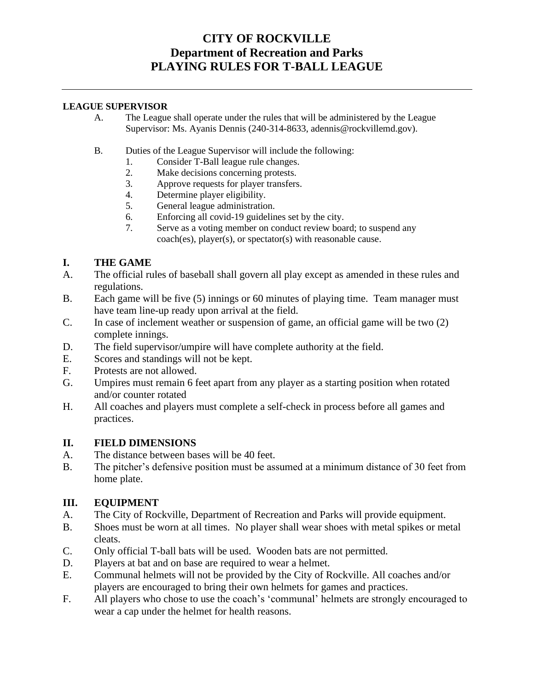# **CITY OF ROCKVILLE Department of Recreation and Parks PLAYING RULES FOR T-BALL LEAGUE**

#### **LEAGUE SUPERVISOR**

- A. The League shall operate under the rules that will be administered by the League Supervisor: Ms. Ayanis Dennis (240-314-8633, adennis@rockvillemd.gov).
- B. Duties of the League Supervisor will include the following:
	- 1. Consider T-Ball league rule changes.<br>2. Make decisions concerning protests.
	- 2. Make decisions concerning protests.<br>3. Approve requests for player transfers
	- Approve requests for player transfers.
	- 4. Determine player eligibility.
	- 5. General league administration.
	- 6. Enforcing all covid-19 guidelines set by the city.
	- 7. Serve as a voting member on conduct review board; to suspend any coach(es), player(s), or spectator(s) with reasonable cause.

### **I. THE GAME**

- A. The official rules of baseball shall govern all play except as amended in these rules and regulations.
- B. Each game will be five (5) innings or 60 minutes of playing time. Team manager must have team line-up ready upon arrival at the field.
- C. In case of inclement weather or suspension of game, an official game will be two (2) complete innings.
- D. The field supervisor/umpire will have complete authority at the field.
- E. Scores and standings will not be kept.
- F. Protests are not allowed.
- G. Umpires must remain 6 feet apart from any player as a starting position when rotated and/or counter rotated
- H. All coaches and players must complete a self-check in process before all games and practices.

#### **II. FIELD DIMENSIONS**

- A. The distance between bases will be 40 feet.
- B. The pitcher's defensive position must be assumed at a minimum distance of 30 feet from home plate.

#### **III. EQUIPMENT**

- A. The City of Rockville, Department of Recreation and Parks will provide equipment.
- B. Shoes must be worn at all times. No player shall wear shoes with metal spikes or metal cleats.
- C. Only official T-ball bats will be used. Wooden bats are not permitted.
- D. Players at bat and on base are required to wear a helmet.
- E. Communal helmets will not be provided by the City of Rockville. All coaches and/or players are encouraged to bring their own helmets for games and practices.
- F. All players who chose to use the coach's 'communal' helmets are strongly encouraged to wear a cap under the helmet for health reasons.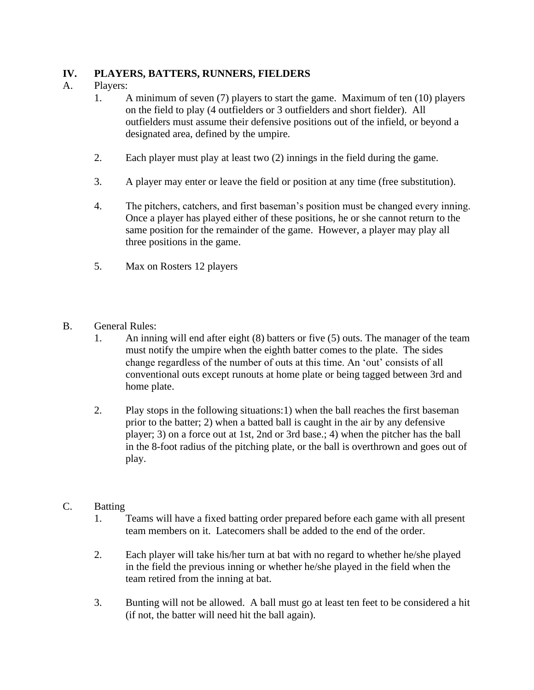# **IV. PLAYERS, BATTERS, RUNNERS, FIELDERS**

# A. Players:

- 1. A minimum of seven (7) players to start the game. Maximum of ten (10) players on the field to play (4 outfielders or 3 outfielders and short fielder). All outfielders must assume their defensive positions out of the infield, or beyond a designated area, defined by the umpire.
- 2. Each player must play at least two (2) innings in the field during the game.
- 3. A player may enter or leave the field or position at any time (free substitution).
- 4. The pitchers, catchers, and first baseman's position must be changed every inning. Once a player has played either of these positions, he or she cannot return to the same position for the remainder of the game. However, a player may play all three positions in the game.
- 5. Max on Rosters 12 players
- B. General Rules:
	- 1. An inning will end after eight (8) batters or five (5) outs. The manager of the team must notify the umpire when the eighth batter comes to the plate. The sides change regardless of the number of outs at this time. An 'out' consists of all conventional outs except runouts at home plate or being tagged between 3rd and home plate.
	- 2. Play stops in the following situations:1) when the ball reaches the first baseman prior to the batter; 2) when a batted ball is caught in the air by any defensive player; 3) on a force out at 1st, 2nd or 3rd base.; 4) when the pitcher has the ball in the 8-foot radius of the pitching plate, or the ball is overthrown and goes out of play.

# C. Batting

- 1. Teams will have a fixed batting order prepared before each game with all present team members on it. Latecomers shall be added to the end of the order.
- 2. Each player will take his/her turn at bat with no regard to whether he/she played in the field the previous inning or whether he/she played in the field when the team retired from the inning at bat.
- 3. Bunting will not be allowed. A ball must go at least ten feet to be considered a hit (if not, the batter will need hit the ball again).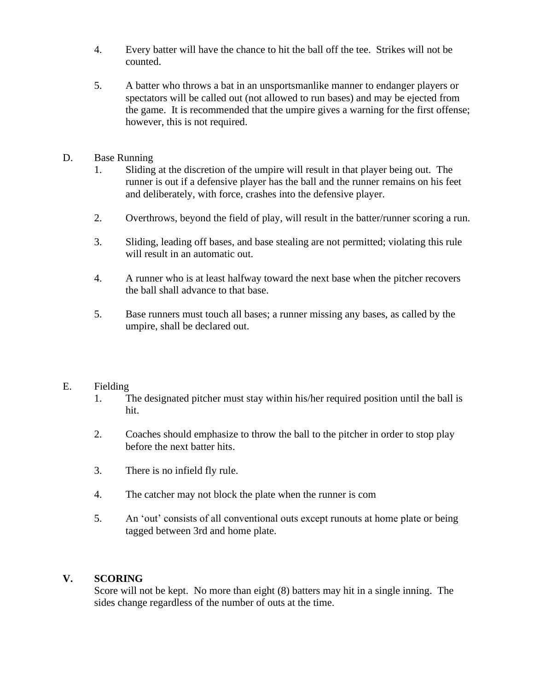- 4. Every batter will have the chance to hit the ball off the tee. Strikes will not be counted.
- 5. A batter who throws a bat in an unsportsmanlike manner to endanger players or spectators will be called out (not allowed to run bases) and may be ejected from the game. It is recommended that the umpire gives a warning for the first offense; however, this is not required.
- D. Base Running
	- 1. Sliding at the discretion of the umpire will result in that player being out. The runner is out if a defensive player has the ball and the runner remains on his feet and deliberately, with force, crashes into the defensive player.
	- 2. Overthrows, beyond the field of play, will result in the batter/runner scoring a run.
	- 3. Sliding, leading off bases, and base stealing are not permitted; violating this rule will result in an automatic out.
	- 4. A runner who is at least halfway toward the next base when the pitcher recovers the ball shall advance to that base.
	- 5. Base runners must touch all bases; a runner missing any bases, as called by the umpire, shall be declared out.

#### E. Fielding

- 1. The designated pitcher must stay within his/her required position until the ball is hit.
- 2. Coaches should emphasize to throw the ball to the pitcher in order to stop play before the next batter hits.
- 3. There is no infield fly rule.
- 4. The catcher may not block the plate when the runner is com
- 5. An 'out' consists of all conventional outs except runouts at home plate or being tagged between 3rd and home plate.

#### **V. SCORING**

Score will not be kept. No more than eight (8) batters may hit in a single inning. The sides change regardless of the number of outs at the time.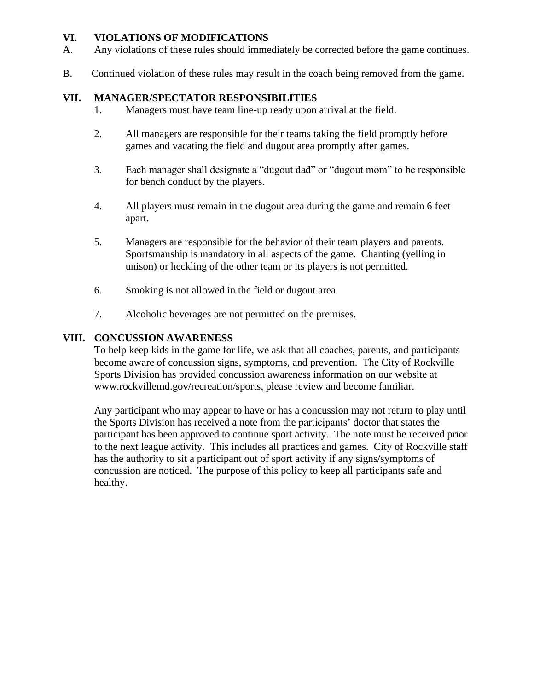### **VI. VIOLATIONS OF MODIFICATIONS**

- A. Any violations of these rules should immediately be corrected before the game continues.
- B. Continued violation of these rules may result in the coach being removed from the game.

### **VII. MANAGER/SPECTATOR RESPONSIBILITIES**

- 1. Managers must have team line-up ready upon arrival at the field.
- 2. All managers are responsible for their teams taking the field promptly before games and vacating the field and dugout area promptly after games.
- 3. Each manager shall designate a "dugout dad" or "dugout mom" to be responsible for bench conduct by the players.
- 4. All players must remain in the dugout area during the game and remain 6 feet apart.
- 5. Managers are responsible for the behavior of their team players and parents. Sportsmanship is mandatory in all aspects of the game. Chanting (yelling in unison) or heckling of the other team or its players is not permitted.
- 6. Smoking is not allowed in the field or dugout area.
- 7. Alcoholic beverages are not permitted on the premises.

### **VIII. CONCUSSION AWARENESS**

To help keep kids in the game for life, we ask that all coaches, parents, and participants become aware of concussion signs, symptoms, and prevention. The City of Rockville Sports Division has provided concussion awareness information on our website at www.rockvillemd.gov/recreation/sports, please review and become familiar.

Any participant who may appear to have or has a concussion may not return to play until the Sports Division has received a note from the participants' doctor that states the participant has been approved to continue sport activity. The note must be received prior to the next league activity. This includes all practices and games. City of Rockville staff has the authority to sit a participant out of sport activity if any signs/symptoms of concussion are noticed. The purpose of this policy to keep all participants safe and healthy.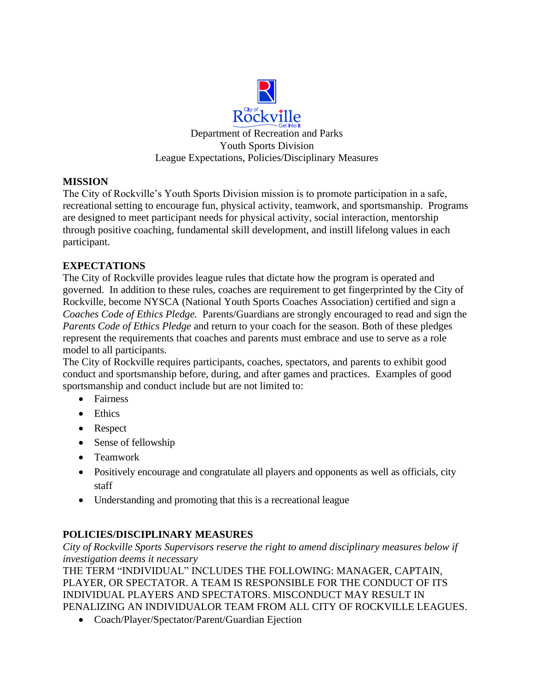

# **MISSION**

The City of Rockville's Youth Sports Division mission is to promote participation in a safe, recreational setting to encourage fun, physical activity, teamwork, and sportsmanship. Programs are designed to meet participant needs for physical activity, social interaction, mentorship through positive coaching, fundamental skill development, and instill lifelong values in each participant.

# **EXPECTATIONS**

The City of Rockville provides league rules that dictate how the program is operated and governed. In addition to these rules, coaches are requirement to get fingerprinted by the City of Rockville, become NYSCA (National Youth Sports Coaches Association) certified and sign a *Coaches Code of Ethics Pledge.* Parents/Guardians are strongly encouraged to read and sign the *Parents Code of Ethics Pledge* and return to your coach for the season. Both of these pledges represent the requirements that coaches and parents must embrace and use to serve as a role model to all participants.

The City of Rockville requires participants, coaches, spectators, and parents to exhibit good conduct and sportsmanship before, during, and after games and practices. Examples of good sportsmanship and conduct include but are not limited to:

- Fairness
- Ethics
- Respect
- Sense of fellowship
- Teamwork
- Positively encourage and congratulate all players and opponents as well as officials, city staff
- Understanding and promoting that this is a recreational league

# **POLICIES/DISCIPLINARY MEASURES**

*City of Rockville Sports Supervisors reserve the right to amend disciplinary measures below if investigation deems it necessary* 

THE TERM "INDIVIDUAL" INCLUDES THE FOLLOWING: MANAGER, CAPTAIN, PLAYER, OR SPECTATOR. A TEAM IS RESPONSIBLE FOR THE CONDUCT OF ITS INDIVIDUAL PLAYERS AND SPECTATORS. MISCONDUCT MAY RESULT IN PENALIZING AN INDIVIDUALOR TEAM FROM ALL CITY OF ROCKVILLE LEAGUES.

• Coach/Player/Spectator/Parent/Guardian Ejection